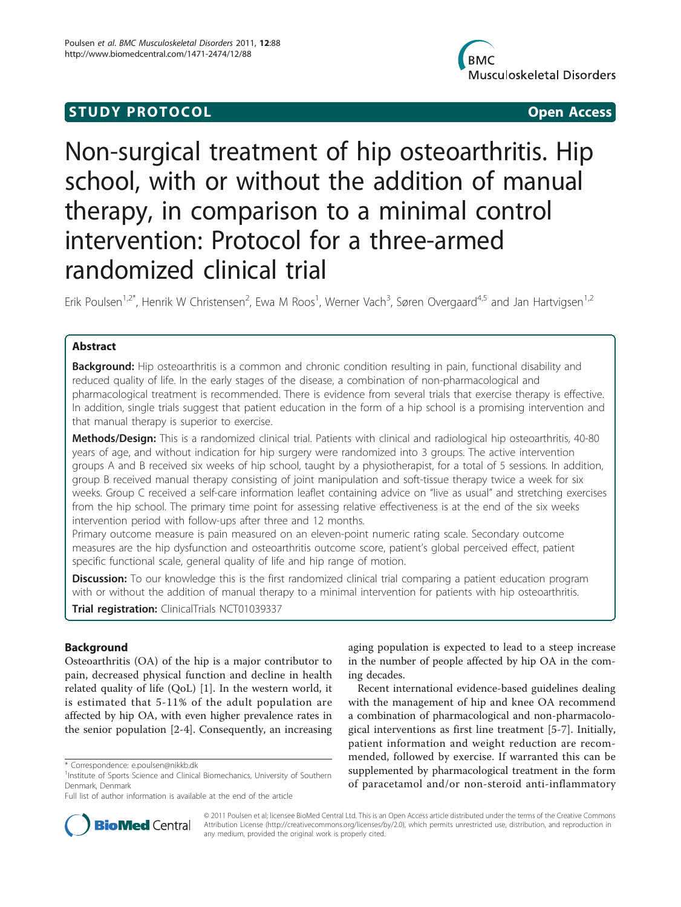# **STUDY PROTOCOL** CONTROL CONTROL CONTROL CONTROL CONTROL CONTROL CONTROL CONTROL CONTROL CONTROL CONTROL CONTROL CONTROL CONTROL CONTROL CONTROL CONTROL CONTROL CONTROL CONTROL CONTROL CONTROL CONTROL CONTROL CONTROL CONTR



# Non-surgical treatment of hip osteoarthritis. Hip school, with or without the addition of manual therapy, in comparison to a minimal control intervention: Protocol for a three-armed randomized clinical trial

Erik Poulsen<sup>1,2\*</sup>, Henrik W Christensen<sup>2</sup>, Ewa M Roos<sup>1</sup>, Werner Vach<sup>3</sup>, Søren Overgaard<sup>4,5</sup> and Jan Hartvigsen<sup>1,2</sup>

# Abstract

Background: Hip osteoarthritis is a common and chronic condition resulting in pain, functional disability and reduced quality of life. In the early stages of the disease, a combination of non-pharmacological and pharmacological treatment is recommended. There is evidence from several trials that exercise therapy is effective. In addition, single trials suggest that patient education in the form of a hip school is a promising intervention and that manual therapy is superior to exercise.

Methods/Design: This is a randomized clinical trial. Patients with clinical and radiological hip osteoarthritis, 40-80 years of age, and without indication for hip surgery were randomized into 3 groups. The active intervention groups A and B received six weeks of hip school, taught by a physiotherapist, for a total of 5 sessions. In addition, group B received manual therapy consisting of joint manipulation and soft-tissue therapy twice a week for six weeks. Group C received a self-care information leaflet containing advice on "live as usual" and stretching exercises from the hip school. The primary time point for assessing relative effectiveness is at the end of the six weeks intervention period with follow-ups after three and 12 months.

Primary outcome measure is pain measured on an eleven-point numeric rating scale. Secondary outcome measures are the hip dysfunction and osteoarthritis outcome score, patient's global perceived effect, patient specific functional scale, general quality of life and hip range of motion.

Discussion: To our knowledge this is the first randomized clinical trial comparing a patient education program with or without the addition of manual therapy to a minimal intervention for patients with hip osteoarthritis.

Trial registration: ClinicalTrials [NCT01039337](http://www.clinicaltrials.gov/ct2/show/NCT01039337)

# Background

Osteoarthritis (OA) of the hip is a major contributor to pain, decreased physical function and decline in health related quality of life (QoL) [\[1\]](#page-7-0). In the western world, it is estimated that 5-11% of the adult population are affected by hip OA, with even higher prevalence rates in the senior population [\[2](#page-7-0)-[4\]](#page-7-0). Consequently, an increasing aging population is expected to lead to a steep increase in the number of people affected by hip OA in the coming decades.

Recent international evidence-based guidelines dealing with the management of hip and knee OA recommend a combination of pharmacological and non-pharmacological interventions as first line treatment [\[5](#page-7-0)-[7](#page-7-0)]. Initially, patient information and weight reduction are recommended, followed by exercise. If warranted this can be supplemented by pharmacological treatment in the form of paracetamol and/or non-steroid anti-inflammatory



© 2011 Poulsen et al; licensee BioMed Central Ltd. This is an Open Access article distributed under the terms of the Creative Commons Attribution License [\(http://creativecommons.org/licenses/by/2.0](http://creativecommons.org/licenses/by/2.0)), which permits unrestricted use, distribution, and reproduction in any medium, provided the original work is properly cited.

<sup>\*</sup> Correspondence: [e.poulsen@nikkb.dk](mailto:e.poulsen@nikkb.dk)

<sup>&</sup>lt;sup>1</sup>Institute of Sports Science and Clinical Biomechanics, University of Southern Denmark, Denmark

Full list of author information is available at the end of the article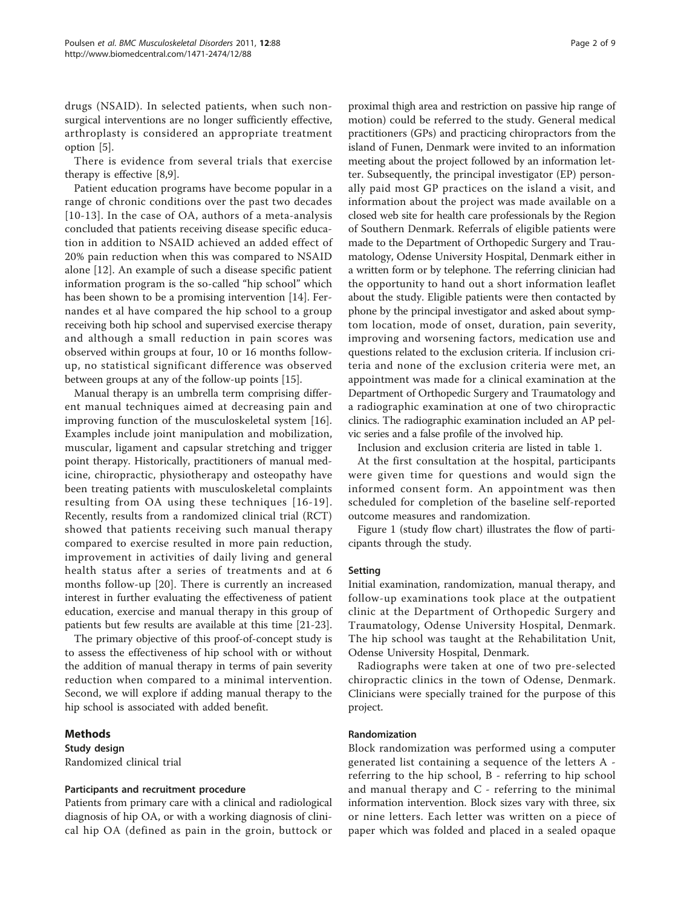drugs (NSAID). In selected patients, when such nonsurgical interventions are no longer sufficiently effective, arthroplasty is considered an appropriate treatment option [[5](#page-7-0)].

There is evidence from several trials that exercise therapy is effective [[8,9\]](#page-7-0).

Patient education programs have become popular in a range of chronic conditions over the past two decades [[10-13\]](#page-7-0). In the case of OA, authors of a meta-analysis concluded that patients receiving disease specific education in addition to NSAID achieved an added effect of 20% pain reduction when this was compared to NSAID alone [[12\]](#page-7-0). An example of such a disease specific patient information program is the so-called "hip school" which has been shown to be a promising intervention [[14\]](#page-7-0). Fernandes et al have compared the hip school to a group receiving both hip school and supervised exercise therapy and although a small reduction in pain scores was observed within groups at four, 10 or 16 months followup, no statistical significant difference was observed between groups at any of the follow-up points [\[15](#page-7-0)].

Manual therapy is an umbrella term comprising different manual techniques aimed at decreasing pain and improving function of the musculoskeletal system [[16](#page-7-0)]. Examples include joint manipulation and mobilization, muscular, ligament and capsular stretching and trigger point therapy. Historically, practitioners of manual medicine, chiropractic, physiotherapy and osteopathy have been treating patients with musculoskeletal complaints resulting from OA using these techniques [[16-19\]](#page-7-0). Recently, results from a randomized clinical trial (RCT) showed that patients receiving such manual therapy compared to exercise resulted in more pain reduction, improvement in activities of daily living and general health status after a series of treatments and at 6 months follow-up [[20\]](#page-7-0). There is currently an increased interest in further evaluating the effectiveness of patient education, exercise and manual therapy in this group of patients but few results are available at this time [\[21-23](#page-7-0)].

The primary objective of this proof-of-concept study is to assess the effectiveness of hip school with or without the addition of manual therapy in terms of pain severity reduction when compared to a minimal intervention. Second, we will explore if adding manual therapy to the hip school is associated with added benefit.

#### Methods

Study design Randomized clinical trial

#### Participants and recruitment procedure

Patients from primary care with a clinical and radiological diagnosis of hip OA, or with a working diagnosis of clinical hip OA (defined as pain in the groin, buttock or Page 2 of 9

proximal thigh area and restriction on passive hip range of motion) could be referred to the study. General medical practitioners (GPs) and practicing chiropractors from the island of Funen, Denmark were invited to an information meeting about the project followed by an information letter. Subsequently, the principal investigator (EP) personally paid most GP practices on the island a visit, and information about the project was made available on a closed web site for health care professionals by the Region of Southern Denmark. Referrals of eligible patients were made to the Department of Orthopedic Surgery and Traumatology, Odense University Hospital, Denmark either in a written form or by telephone. The referring clinician had the opportunity to hand out a short information leaflet about the study. Eligible patients were then contacted by phone by the principal investigator and asked about symptom location, mode of onset, duration, pain severity, improving and worsening factors, medication use and questions related to the exclusion criteria. If inclusion criteria and none of the exclusion criteria were met, an appointment was made for a clinical examination at the Department of Orthopedic Surgery and Traumatology and a radiographic examination at one of two chiropractic clinics. The radiographic examination included an AP pelvic series and a false profile of the involved hip.

Inclusion and exclusion criteria are listed in table [1](#page-2-0).

At the first consultation at the hospital, participants were given time for questions and would sign the informed consent form. An appointment was then scheduled for completion of the baseline self-reported outcome measures and randomization.

Figure [1](#page-2-0) (study flow chart) illustrates the flow of participants through the study.

#### Setting

Initial examination, randomization, manual therapy, and follow-up examinations took place at the outpatient clinic at the Department of Orthopedic Surgery and Traumatology, Odense University Hospital, Denmark. The hip school was taught at the Rehabilitation Unit, Odense University Hospital, Denmark.

Radiographs were taken at one of two pre-selected chiropractic clinics in the town of Odense, Denmark. Clinicians were specially trained for the purpose of this project.

#### Randomization

Block randomization was performed using a computer generated list containing a sequence of the letters A referring to the hip school, B - referring to hip school and manual therapy and C - referring to the minimal information intervention. Block sizes vary with three, six or nine letters. Each letter was written on a piece of paper which was folded and placed in a sealed opaque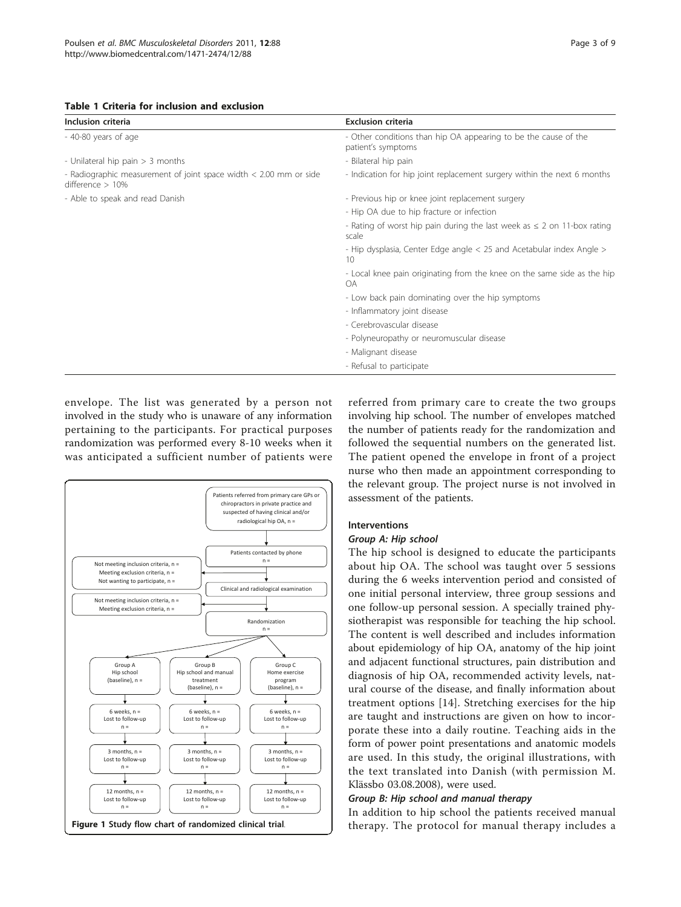<span id="page-2-0"></span>

| Table 1 Criteria for inclusion and exclusion |  |  |  |  |
|----------------------------------------------|--|--|--|--|
|----------------------------------------------|--|--|--|--|

| Inclusion criteria                                                                      | <b>Exclusion criteria</b>                                                             |
|-----------------------------------------------------------------------------------------|---------------------------------------------------------------------------------------|
| - 40-80 years of age                                                                    | - Other conditions than hip OA appearing to be the cause of the<br>patient's symptoms |
| - Unilateral hip pain $>$ 3 months                                                      | - Bilateral hip pain                                                                  |
| - Radiographic measurement of joint space width < 2.00 mm or side<br>difference $>10\%$ | - Indication for hip joint replacement surgery within the next 6 months               |
| - Able to speak and read Danish                                                         | - Previous hip or knee joint replacement surgery                                      |
|                                                                                         | - Hip OA due to hip fracture or infection                                             |
|                                                                                         | - Rating of worst hip pain during the last week as $\leq$ 2 on 11-box rating<br>scale |
|                                                                                         | - Hip dysplasia, Center Edge angle < 25 and Acetabular index Angle ><br>10            |
|                                                                                         | - Local knee pain originating from the knee on the same side as the hip<br><b>OA</b>  |
|                                                                                         | - Low back pain dominating over the hip symptoms                                      |
|                                                                                         | - Inflammatory joint disease                                                          |
|                                                                                         | - Cerebrovascular disease                                                             |
|                                                                                         | - Polyneuropathy or neuromuscular disease                                             |
|                                                                                         | - Malignant disease                                                                   |
|                                                                                         | - Refusal to participate                                                              |

envelope. The list was generated by a person not involved in the study who is unaware of any information pertaining to the participants. For practical purposes randomization was performed every 8-10 weeks when it was anticipated a sufficient number of patients were



referred from primary care to create the two groups involving hip school. The number of envelopes matched the number of patients ready for the randomization and followed the sequential numbers on the generated list. The patient opened the envelope in front of a project nurse who then made an appointment corresponding to the relevant group. The project nurse is not involved in assessment of the patients.

#### Interventions

#### Group A: Hip school

The hip school is designed to educate the participants about hip OA. The school was taught over 5 sessions during the 6 weeks intervention period and consisted of one initial personal interview, three group sessions and one follow-up personal session. A specially trained physiotherapist was responsible for teaching the hip school. The content is well described and includes information about epidemiology of hip OA, anatomy of the hip joint and adjacent functional structures, pain distribution and diagnosis of hip OA, recommended activity levels, natural course of the disease, and finally information about treatment options [[14](#page-7-0)]. Stretching exercises for the hip are taught and instructions are given on how to incorporate these into a daily routine. Teaching aids in the form of power point presentations and anatomic models are used. In this study, the original illustrations, with the text translated into Danish (with permission M. Klässbo 03.08.2008), were used.

# Group B: Hip school and manual therapy

In addition to hip school the patients received manual therapy. The protocol for manual therapy includes a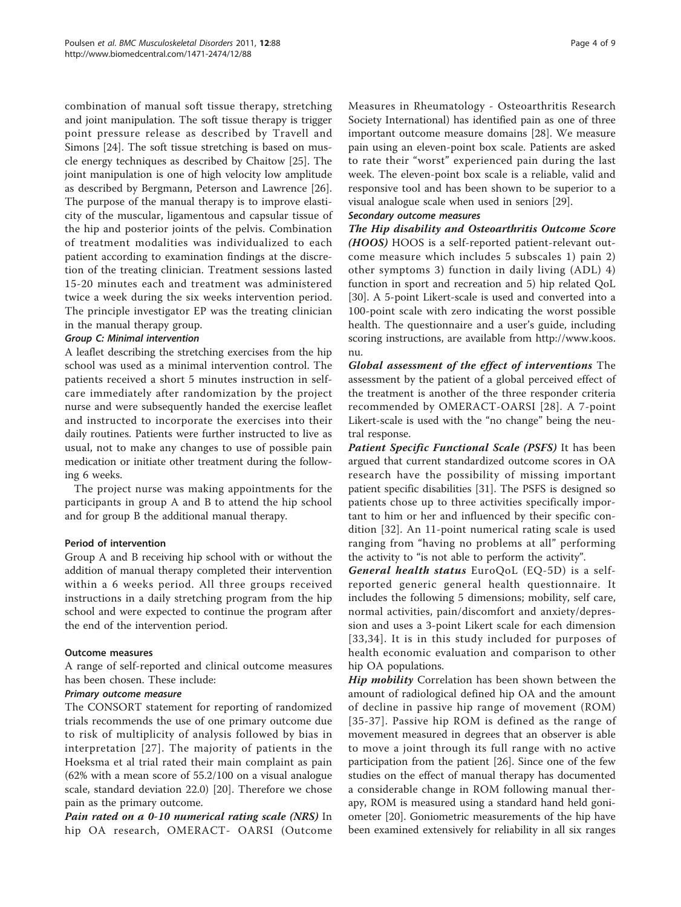combination of manual soft tissue therapy, stretching and joint manipulation. The soft tissue therapy is trigger point pressure release as described by Travell and Simons [\[24](#page-7-0)]. The soft tissue stretching is based on muscle energy techniques as described by Chaitow [[25\]](#page-7-0). The joint manipulation is one of high velocity low amplitude as described by Bergmann, Peterson and Lawrence [\[26](#page-7-0)]. The purpose of the manual therapy is to improve elasticity of the muscular, ligamentous and capsular tissue of the hip and posterior joints of the pelvis. Combination of treatment modalities was individualized to each patient according to examination findings at the discretion of the treating clinician. Treatment sessions lasted 15-20 minutes each and treatment was administered twice a week during the six weeks intervention period. The principle investigator EP was the treating clinician in the manual therapy group.

#### Group C: Minimal intervention

A leaflet describing the stretching exercises from the hip school was used as a minimal intervention control. The patients received a short 5 minutes instruction in selfcare immediately after randomization by the project nurse and were subsequently handed the exercise leaflet and instructed to incorporate the exercises into their daily routines. Patients were further instructed to live as usual, not to make any changes to use of possible pain medication or initiate other treatment during the following 6 weeks.

The project nurse was making appointments for the participants in group A and B to attend the hip school and for group B the additional manual therapy.

#### Period of intervention

Group A and B receiving hip school with or without the addition of manual therapy completed their intervention within a 6 weeks period. All three groups received instructions in a daily stretching program from the hip school and were expected to continue the program after the end of the intervention period.

#### Outcome measures

A range of self-reported and clinical outcome measures has been chosen. These include:

# Primary outcome measure

The CONSORT statement for reporting of randomized trials recommends the use of one primary outcome due to risk of multiplicity of analysis followed by bias in interpretation [[27\]](#page-7-0). The majority of patients in the Hoeksma et al trial rated their main complaint as pain (62% with a mean score of 55.2/100 on a visual analogue scale, standard deviation 22.0) [[20](#page-7-0)]. Therefore we chose pain as the primary outcome.

Pain rated on a 0-10 numerical rating scale (NRS) In hip OA research, OMERACT- OARSI (Outcome Measures in Rheumatology - Osteoarthritis Research Society International) has identified pain as one of three important outcome measure domains [[28\]](#page-7-0). We measure pain using an eleven-point box scale. Patients are asked to rate their "worst" experienced pain during the last week. The eleven-point box scale is a reliable, valid and responsive tool and has been shown to be superior to a visual analogue scale when used in seniors [\[29\]](#page-7-0).

#### Secondary outcome measures

The Hip disability and Osteoarthritis Outcome Score (HOOS) HOOS is a self-reported patient-relevant outcome measure which includes 5 subscales 1) pain 2) other symptoms 3) function in daily living (ADL) 4) function in sport and recreation and 5) hip related QoL [[30\]](#page-7-0). A 5-point Likert-scale is used and converted into a 100-point scale with zero indicating the worst possible health. The questionnaire and a user's guide, including scoring instructions, are available from [http://www.koos.](http://www.koos.nu) [nu](http://www.koos.nu).

Global assessment of the effect of interventions The assessment by the patient of a global perceived effect of the treatment is another of the three responder criteria recommended by OMERACT-OARSI [[28](#page-7-0)]. A 7-point Likert-scale is used with the "no change" being the neutral response.

Patient Specific Functional Scale (PSFS) It has been argued that current standardized outcome scores in OA research have the possibility of missing important patient specific disabilities [\[31\]](#page-7-0). The PSFS is designed so patients chose up to three activities specifically important to him or her and influenced by their specific condition [\[32\]](#page-7-0). An 11-point numerical rating scale is used ranging from "having no problems at all" performing the activity to "is not able to perform the activity".

General health status EuroQoL (EQ-5D) is a selfreported generic general health questionnaire. It includes the following 5 dimensions; mobility, self care, normal activities, pain/discomfort and anxiety/depression and uses a 3-point Likert scale for each dimension [[33](#page-7-0),[34](#page-7-0)]. It is in this study included for purposes of health economic evaluation and comparison to other hip OA populations.

Hip mobility Correlation has been shown between the amount of radiological defined hip OA and the amount of decline in passive hip range of movement (ROM) [[35-](#page-7-0)[37](#page-8-0)]. Passive hip ROM is defined as the range of movement measured in degrees that an observer is able to move a joint through its full range with no active participation from the patient [[26\]](#page-7-0). Since one of the few studies on the effect of manual therapy has documented a considerable change in ROM following manual therapy, ROM is measured using a standard hand held goniometer [\[20\]](#page-7-0). Goniometric measurements of the hip have been examined extensively for reliability in all six ranges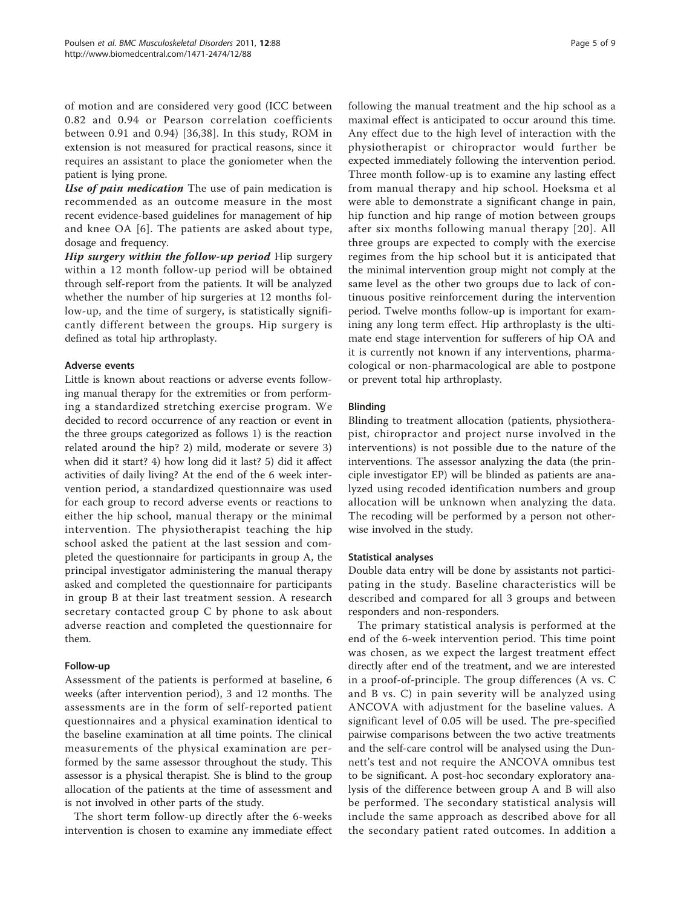of motion and are considered very good (ICC between 0.82 and 0.94 or Pearson correlation coefficients between 0.91 and 0.94) [\[36](#page-7-0),[38](#page-8-0)]. In this study, ROM in extension is not measured for practical reasons, since it requires an assistant to place the goniometer when the patient is lying prone.

Use of pain medication The use of pain medication is recommended as an outcome measure in the most recent evidence-based guidelines for management of hip and knee OA [[6\]](#page-7-0). The patients are asked about type, dosage and frequency.

Hip surgery within the follow-up period Hip surgery within a 12 month follow-up period will be obtained through self-report from the patients. It will be analyzed whether the number of hip surgeries at 12 months follow-up, and the time of surgery, is statistically significantly different between the groups. Hip surgery is defined as total hip arthroplasty.

#### Adverse events

Little is known about reactions or adverse events following manual therapy for the extremities or from performing a standardized stretching exercise program. We decided to record occurrence of any reaction or event in the three groups categorized as follows 1) is the reaction related around the hip? 2) mild, moderate or severe 3) when did it start? 4) how long did it last? 5) did it affect activities of daily living? At the end of the 6 week intervention period, a standardized questionnaire was used for each group to record adverse events or reactions to either the hip school, manual therapy or the minimal intervention. The physiotherapist teaching the hip school asked the patient at the last session and completed the questionnaire for participants in group A, the principal investigator administering the manual therapy asked and completed the questionnaire for participants in group B at their last treatment session. A research secretary contacted group C by phone to ask about adverse reaction and completed the questionnaire for them.

#### Follow-up

Assessment of the patients is performed at baseline, 6 weeks (after intervention period), 3 and 12 months. The assessments are in the form of self-reported patient questionnaires and a physical examination identical to the baseline examination at all time points. The clinical measurements of the physical examination are performed by the same assessor throughout the study. This assessor is a physical therapist. She is blind to the group allocation of the patients at the time of assessment and is not involved in other parts of the study.

The short term follow-up directly after the 6-weeks intervention is chosen to examine any immediate effect following the manual treatment and the hip school as a maximal effect is anticipated to occur around this time. Any effect due to the high level of interaction with the physiotherapist or chiropractor would further be expected immediately following the intervention period. Three month follow-up is to examine any lasting effect from manual therapy and hip school. Hoeksma et al were able to demonstrate a significant change in pain, hip function and hip range of motion between groups after six months following manual therapy [[20\]](#page-7-0). All three groups are expected to comply with the exercise regimes from the hip school but it is anticipated that the minimal intervention group might not comply at the same level as the other two groups due to lack of continuous positive reinforcement during the intervention period. Twelve months follow-up is important for examining any long term effect. Hip arthroplasty is the ultimate end stage intervention for sufferers of hip OA and it is currently not known if any interventions, pharmacological or non-pharmacological are able to postpone or prevent total hip arthroplasty.

#### Blinding

Blinding to treatment allocation (patients, physiotherapist, chiropractor and project nurse involved in the interventions) is not possible due to the nature of the interventions. The assessor analyzing the data (the principle investigator EP) will be blinded as patients are analyzed using recoded identification numbers and group allocation will be unknown when analyzing the data. The recoding will be performed by a person not otherwise involved in the study.

#### Statistical analyses

Double data entry will be done by assistants not participating in the study. Baseline characteristics will be described and compared for all 3 groups and between responders and non-responders.

The primary statistical analysis is performed at the end of the 6-week intervention period. This time point was chosen, as we expect the largest treatment effect directly after end of the treatment, and we are interested in a proof-of-principle. The group differences (A vs. C and B vs. C) in pain severity will be analyzed using ANCOVA with adjustment for the baseline values. A significant level of 0.05 will be used. The pre-specified pairwise comparisons between the two active treatments and the self-care control will be analysed using the Dunnett's test and not require the ANCOVA omnibus test to be significant. A post-hoc secondary exploratory analysis of the difference between group A and B will also be performed. The secondary statistical analysis will include the same approach as described above for all the secondary patient rated outcomes. In addition a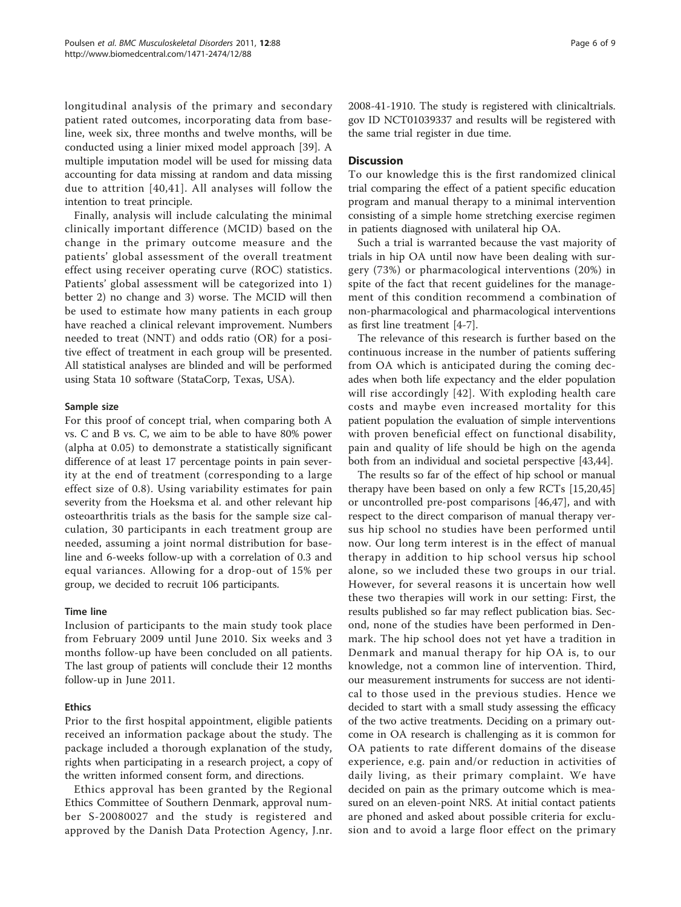longitudinal analysis of the primary and secondary patient rated outcomes, incorporating data from baseline, week six, three months and twelve months, will be conducted using a linier mixed model approach [[39\]](#page-8-0). A multiple imputation model will be used for missing data accounting for data missing at random and data missing due to attrition [[40,41\]](#page-8-0). All analyses will follow the intention to treat principle.

Finally, analysis will include calculating the minimal clinically important difference (MCID) based on the change in the primary outcome measure and the patients' global assessment of the overall treatment effect using receiver operating curve (ROC) statistics. Patients' global assessment will be categorized into 1) better 2) no change and 3) worse. The MCID will then be used to estimate how many patients in each group have reached a clinical relevant improvement. Numbers needed to treat (NNT) and odds ratio (OR) for a positive effect of treatment in each group will be presented. All statistical analyses are blinded and will be performed using Stata 10 software (StataCorp, Texas, USA).

#### Sample size

For this proof of concept trial, when comparing both A vs. C and B vs. C, we aim to be able to have 80% power (alpha at 0.05) to demonstrate a statistically significant difference of at least 17 percentage points in pain severity at the end of treatment (corresponding to a large effect size of 0.8). Using variability estimates for pain severity from the Hoeksma et al. and other relevant hip osteoarthritis trials as the basis for the sample size calculation, 30 participants in each treatment group are needed, assuming a joint normal distribution for baseline and 6-weeks follow-up with a correlation of 0.3 and equal variances. Allowing for a drop-out of 15% per group, we decided to recruit 106 participants.

# Time line

Inclusion of participants to the main study took place from February 2009 until June 2010. Six weeks and 3 months follow-up have been concluded on all patients. The last group of patients will conclude their 12 months follow-up in June 2011.

# Ethics

Prior to the first hospital appointment, eligible patients received an information package about the study. The package included a thorough explanation of the study, rights when participating in a research project, a copy of the written informed consent form, and directions.

Ethics approval has been granted by the Regional Ethics Committee of Southern Denmark, approval number S-20080027 and the study is registered and approved by the Danish Data Protection Agency, J.nr. 2008-41-1910. The study is registered with clinicaltrials. gov ID NCT01039337 and results will be registered with the same trial register in due time.

# **Discussion**

To our knowledge this is the first randomized clinical trial comparing the effect of a patient specific education program and manual therapy to a minimal intervention consisting of a simple home stretching exercise regimen in patients diagnosed with unilateral hip OA.

Such a trial is warranted because the vast majority of trials in hip OA until now have been dealing with surgery (73%) or pharmacological interventions (20%) in spite of the fact that recent guidelines for the management of this condition recommend a combination of non-pharmacological and pharmacological interventions as first line treatment [[4-7\]](#page-7-0).

The relevance of this research is further based on the continuous increase in the number of patients suffering from OA which is anticipated during the coming decades when both life expectancy and the elder population will rise accordingly [[42\]](#page-8-0). With exploding health care costs and maybe even increased mortality for this patient population the evaluation of simple interventions with proven beneficial effect on functional disability, pain and quality of life should be high on the agenda both from an individual and societal perspective [\[43,44](#page-8-0)].

The results so far of the effect of hip school or manual therapy have been based on only a few RCTs [\[15,20](#page-7-0)[,45](#page-8-0)] or uncontrolled pre-post comparisons [[46,47\]](#page-8-0), and with respect to the direct comparison of manual therapy versus hip school no studies have been performed until now. Our long term interest is in the effect of manual therapy in addition to hip school versus hip school alone, so we included these two groups in our trial. However, for several reasons it is uncertain how well these two therapies will work in our setting: First, the results published so far may reflect publication bias. Second, none of the studies have been performed in Denmark. The hip school does not yet have a tradition in Denmark and manual therapy for hip OA is, to our knowledge, not a common line of intervention. Third, our measurement instruments for success are not identical to those used in the previous studies. Hence we decided to start with a small study assessing the efficacy of the two active treatments. Deciding on a primary outcome in OA research is challenging as it is common for OA patients to rate different domains of the disease experience, e.g. pain and/or reduction in activities of daily living, as their primary complaint. We have decided on pain as the primary outcome which is measured on an eleven-point NRS. At initial contact patients are phoned and asked about possible criteria for exclusion and to avoid a large floor effect on the primary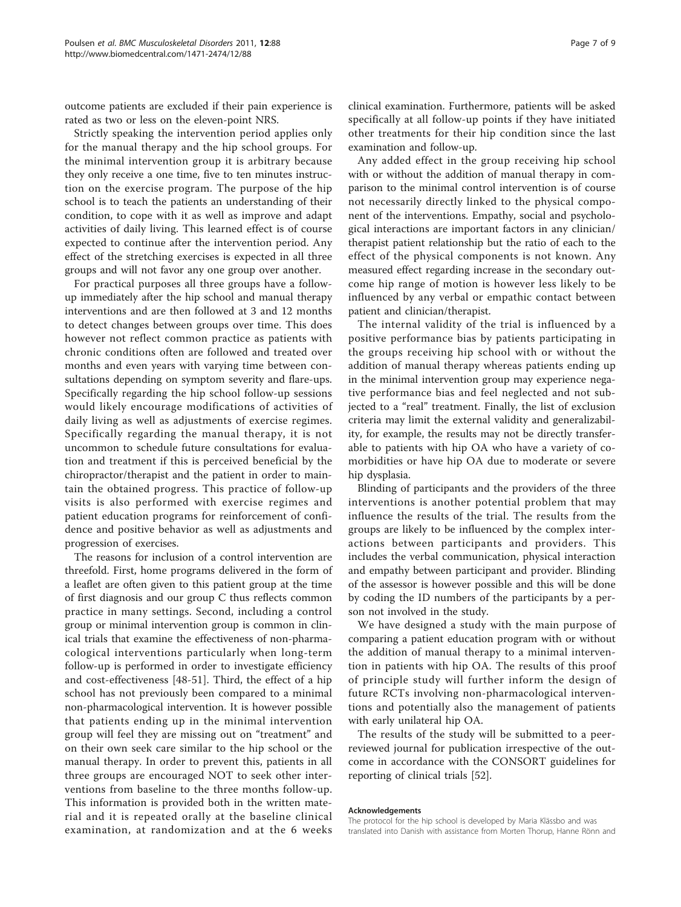outcome patients are excluded if their pain experience is rated as two or less on the eleven-point NRS.

Strictly speaking the intervention period applies only for the manual therapy and the hip school groups. For the minimal intervention group it is arbitrary because they only receive a one time, five to ten minutes instruction on the exercise program. The purpose of the hip school is to teach the patients an understanding of their condition, to cope with it as well as improve and adapt activities of daily living. This learned effect is of course expected to continue after the intervention period. Any effect of the stretching exercises is expected in all three groups and will not favor any one group over another.

For practical purposes all three groups have a followup immediately after the hip school and manual therapy interventions and are then followed at 3 and 12 months to detect changes between groups over time. This does however not reflect common practice as patients with chronic conditions often are followed and treated over months and even years with varying time between consultations depending on symptom severity and flare-ups. Specifically regarding the hip school follow-up sessions would likely encourage modifications of activities of daily living as well as adjustments of exercise regimes. Specifically regarding the manual therapy, it is not uncommon to schedule future consultations for evaluation and treatment if this is perceived beneficial by the chiropractor/therapist and the patient in order to maintain the obtained progress. This practice of follow-up visits is also performed with exercise regimes and patient education programs for reinforcement of confidence and positive behavior as well as adjustments and progression of exercises.

The reasons for inclusion of a control intervention are threefold. First, home programs delivered in the form of a leaflet are often given to this patient group at the time of first diagnosis and our group C thus reflects common practice in many settings. Second, including a control group or minimal intervention group is common in clinical trials that examine the effectiveness of non-pharmacological interventions particularly when long-term follow-up is performed in order to investigate efficiency and cost-effectiveness [\[48-51\]](#page-8-0). Third, the effect of a hip school has not previously been compared to a minimal non-pharmacological intervention. It is however possible that patients ending up in the minimal intervention group will feel they are missing out on "treatment" and on their own seek care similar to the hip school or the manual therapy. In order to prevent this, patients in all three groups are encouraged NOT to seek other interventions from baseline to the three months follow-up. This information is provided both in the written material and it is repeated orally at the baseline clinical examination, at randomization and at the 6 weeks

clinical examination. Furthermore, patients will be asked specifically at all follow-up points if they have initiated other treatments for their hip condition since the last examination and follow-up.

Any added effect in the group receiving hip school with or without the addition of manual therapy in comparison to the minimal control intervention is of course not necessarily directly linked to the physical component of the interventions. Empathy, social and psychological interactions are important factors in any clinician/ therapist patient relationship but the ratio of each to the effect of the physical components is not known. Any measured effect regarding increase in the secondary outcome hip range of motion is however less likely to be influenced by any verbal or empathic contact between patient and clinician/therapist.

The internal validity of the trial is influenced by a positive performance bias by patients participating in the groups receiving hip school with or without the addition of manual therapy whereas patients ending up in the minimal intervention group may experience negative performance bias and feel neglected and not subjected to a "real" treatment. Finally, the list of exclusion criteria may limit the external validity and generalizability, for example, the results may not be directly transferable to patients with hip OA who have a variety of comorbidities or have hip OA due to moderate or severe hip dysplasia.

Blinding of participants and the providers of the three interventions is another potential problem that may influence the results of the trial. The results from the groups are likely to be influenced by the complex interactions between participants and providers. This includes the verbal communication, physical interaction and empathy between participant and provider. Blinding of the assessor is however possible and this will be done by coding the ID numbers of the participants by a person not involved in the study.

We have designed a study with the main purpose of comparing a patient education program with or without the addition of manual therapy to a minimal intervention in patients with hip OA. The results of this proof of principle study will further inform the design of future RCTs involving non-pharmacological interventions and potentially also the management of patients with early unilateral hip OA.

The results of the study will be submitted to a peerreviewed journal for publication irrespective of the outcome in accordance with the CONSORT guidelines for reporting of clinical trials [\[52](#page-8-0)].

#### Acknowledgements

The protocol for the hip school is developed by Maria Klässbo and was translated into Danish with assistance from Morten Thorup, Hanne Rönn and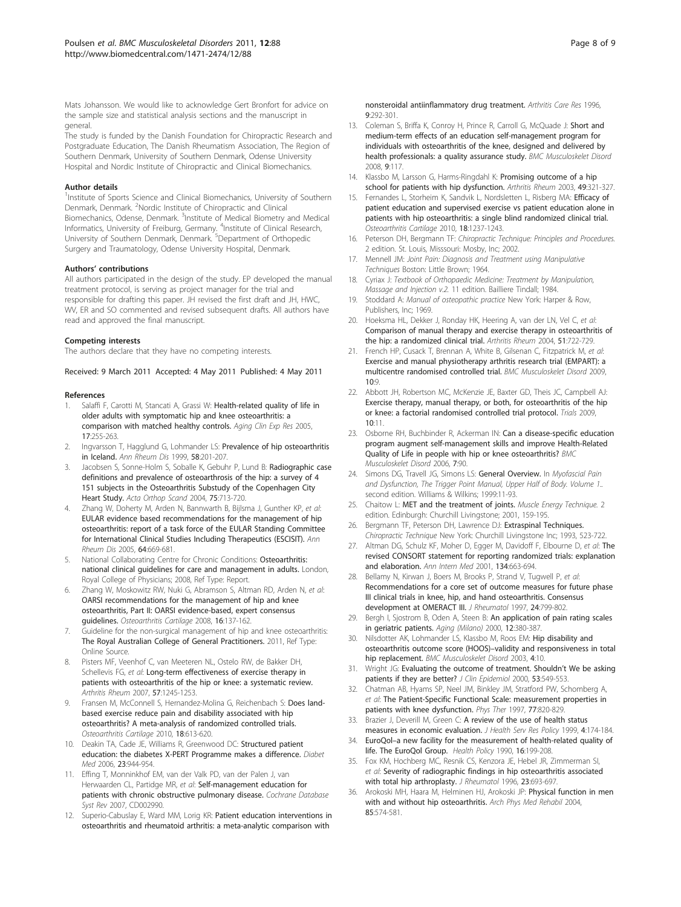<span id="page-7-0"></span>Mats Johansson. We would like to acknowledge Gert Bronfort for advice on the sample size and statistical analysis sections and the manuscript in general.

The study is funded by the Danish Foundation for Chiropractic Research and Postgraduate Education, The Danish Rheumatism Association, The Region of Southern Denmark, University of Southern Denmark, Odense University Hospital and Nordic Institute of Chiropractic and Clinical Biomechanics.

#### Author details

<sup>1</sup>Institute of Sports Science and Clinical Biomechanics, University of Southern Denmark, Denmark. <sup>2</sup>Nordic Institute of Chiropractic and Clinical Biomechanics, Odense, Denmark. <sup>3</sup>Institute of Medical Biometry and Medical Informatics, University of Freiburg, Germany. <sup>4</sup>Institute of Clinical Research,<br>University of Southern Denmark, Denmark. <sup>5</sup>Department of Orthopedic Surgery and Traumatology, Odense University Hospital, Denmark.

#### Authors' contributions

All authors participated in the design of the study. EP developed the manual treatment protocol, is serving as project manager for the trial and responsible for drafting this paper. JH revised the first draft and JH, HWC, WV, ER and SO commented and revised subsequent drafts. All authors have read and approved the final manuscript.

#### Competing interests

The authors declare that they have no competing interests.

Received: 9 March 2011 Accepted: 4 May 2011 Published: 4 May 2011

#### References

- 1. Salaffi F, Carotti M, Stancati A, Grassi W: [Health-related quality of life in](http://www.ncbi.nlm.nih.gov/pubmed/16285189?dopt=Abstract) [older adults with symptomatic hip and knee osteoarthritis: a](http://www.ncbi.nlm.nih.gov/pubmed/16285189?dopt=Abstract) [comparison with matched healthy controls.](http://www.ncbi.nlm.nih.gov/pubmed/16285189?dopt=Abstract) Aging Clin Exp Res 2005, 17:255-263.
- 2. Ingvarsson T, Hagglund G, Lohmander LS: [Prevalence of hip osteoarthritis](http://www.ncbi.nlm.nih.gov/pubmed/10364897?dopt=Abstract) [in Iceland.](http://www.ncbi.nlm.nih.gov/pubmed/10364897?dopt=Abstract) Ann Rheum Dis 1999, 58:201-207.
- 3. Jacobsen S, Sonne-Holm S, Soballe K, Gebuhr P, Lund B: [Radiographic case](http://www.ncbi.nlm.nih.gov/pubmed/15762261?dopt=Abstract) [definitions and prevalence of osteoarthrosis of the hip: a survey of 4](http://www.ncbi.nlm.nih.gov/pubmed/15762261?dopt=Abstract) [151 subjects in the Osteoarthritis Substudy of the Copenhagen City](http://www.ncbi.nlm.nih.gov/pubmed/15762261?dopt=Abstract) [Heart Study.](http://www.ncbi.nlm.nih.gov/pubmed/15762261?dopt=Abstract) Acta Orthop Scand 2004, 75:713-720.
- 4. Zhang W, Doherty M, Arden N, Bannwarth B, Bijlsma J, Gunther KP, et al: [EULAR evidence based recommendations for the management of hip](http://www.ncbi.nlm.nih.gov/pubmed/15471891?dopt=Abstract) [osteoarthritis: report of a task force of the EULAR Standing Committee](http://www.ncbi.nlm.nih.gov/pubmed/15471891?dopt=Abstract) [for International Clinical Studies Including Therapeutics \(ESCISIT\).](http://www.ncbi.nlm.nih.gov/pubmed/15471891?dopt=Abstract) Ann Rheum Dis 2005, 64:669-681.
- 5. National Collaborating Centre for Chronic Conditions: Osteoarthritis: national clinical guidelines for care and management in adults. London, Royal College of Physicians; 2008, Ref Type: Report.
- Zhang W, Moskowitz RW, Nuki G, Abramson S, Altman RD, Arden N, et al: [OARSI recommendations for the management of hip and knee](http://www.ncbi.nlm.nih.gov/pubmed/18279766?dopt=Abstract) [osteoarthritis, Part II: OARSI evidence-based, expert consensus](http://www.ncbi.nlm.nih.gov/pubmed/18279766?dopt=Abstract) [guidelines.](http://www.ncbi.nlm.nih.gov/pubmed/18279766?dopt=Abstract) Osteoarthritis Cartilage 2008, 16:137-162.
- 7. Guideline for the non-surgical management of hip and knee osteoarthritis: The Royal Australian College of General Practitioners. 2011, Ref Type: Online Source.
- Pisters MF, Veenhof C, van Meeteren NL, Ostelo RW, de Bakker DH, Schellevis FG, et al: [Long-term effectiveness of exercise therapy in](http://www.ncbi.nlm.nih.gov/pubmed/17907210?dopt=Abstract) [patients with osteoarthritis of the hip or knee: a systematic review.](http://www.ncbi.nlm.nih.gov/pubmed/17907210?dopt=Abstract) Arthritis Rheum 2007, 57:1245-1253.
- 9. Fransen M, McConnell S, Hernandez-Molina G, Reichenbach S: [Does land](http://www.ncbi.nlm.nih.gov/pubmed/20188228?dopt=Abstract)[based exercise reduce pain and disability associated with hip](http://www.ncbi.nlm.nih.gov/pubmed/20188228?dopt=Abstract) [osteoarthritis? A meta-analysis of randomized controlled trials.](http://www.ncbi.nlm.nih.gov/pubmed/20188228?dopt=Abstract) Osteoarthritis Cartilage 2010, 18:613-620.
- 10. Deakin TA, Cade JE, Williams R, Greenwood DC: [Structured patient](http://www.ncbi.nlm.nih.gov/pubmed/16922700?dopt=Abstract) [education: the diabetes X-PERT Programme makes a difference.](http://www.ncbi.nlm.nih.gov/pubmed/16922700?dopt=Abstract) Diabet Med 2006, 23:944-954.
- 11. Effing T, Monninkhof EM, van der Valk PD, van der Palen J, van Herwaarden CL, Partidge MR, et al: Self-management education for patients with chronic obstructive pulmonary disease. Cochrane Database Syst Rev 2007, CD002990.
- 12. Superio-Cabuslay E, Ward MM, Lorig KR: [Patient education interventions in](http://www.ncbi.nlm.nih.gov/pubmed/8997918?dopt=Abstract) [osteoarthritis and rheumatoid arthritis: a meta-analytic comparison with](http://www.ncbi.nlm.nih.gov/pubmed/8997918?dopt=Abstract)

[nonsteroidal antiinflammatory drug treatment.](http://www.ncbi.nlm.nih.gov/pubmed/8997918?dopt=Abstract) Arthritis Care Res 1996, 9:292-301.

- 13. Coleman S, Briffa K, Conroy H, Prince R, Carroll G, McQuade J: [Short and](http://www.ncbi.nlm.nih.gov/pubmed/18778467?dopt=Abstract) [medium-term effects of an education self-management program for](http://www.ncbi.nlm.nih.gov/pubmed/18778467?dopt=Abstract) [individuals with osteoarthritis of the knee, designed and delivered by](http://www.ncbi.nlm.nih.gov/pubmed/18778467?dopt=Abstract) [health professionals: a quality assurance study.](http://www.ncbi.nlm.nih.gov/pubmed/18778467?dopt=Abstract) BMC Musculoskelet Disord 2008, 9:117.
- 14. Klassbo M, Larsson G, Harms-Ringdahl K: [Promising outcome of a hip](http://www.ncbi.nlm.nih.gov/pubmed/12794786?dopt=Abstract) [school for patients with hip dysfunction.](http://www.ncbi.nlm.nih.gov/pubmed/12794786?dopt=Abstract) Arthritis Rheum 2003, 49:321-327.
- 15. Fernandes L, Storheim K, Sandvik L, Nordsletten L, Risberg MA: [Efficacy of](http://www.ncbi.nlm.nih.gov/pubmed/20633669?dopt=Abstract) [patient education and supervised exercise vs patient education alone in](http://www.ncbi.nlm.nih.gov/pubmed/20633669?dopt=Abstract) [patients with hip osteoarthritis: a single blind randomized clinical trial.](http://www.ncbi.nlm.nih.gov/pubmed/20633669?dopt=Abstract) Osteoarthritis Cartilage 2010, 18:1237-1243.
- 16. Peterson DH, Bergmann TF: Chiropractic Technique: Principles and Procedures. 2 edition. St. Louis, Misssouri: Mosby, Inc; 2002.
- 17. Mennell JM: Joint Pain: Diagnosis and Treatment using Manipulative Techniques Boston: Little Brown; 1964.
- 18. Cyriax J: Textbook of Orthopaedic Medicine: Treatment by Manipulation, Massage and Injection v.2. 11 edition. Bailliere Tindall; 1984.
- 19. Stoddard A: Manual of osteopathic practice New York: Harper & Row, Publishers, Inc; 1969.
- 20. Hoeksma HL, Dekker J, Ronday HK, Heering A, van der LN, Vel C, et al: [Comparison of manual therapy and exercise therapy in osteoarthritis of](http://www.ncbi.nlm.nih.gov/pubmed/15478147?dopt=Abstract) [the hip: a randomized clinical trial.](http://www.ncbi.nlm.nih.gov/pubmed/15478147?dopt=Abstract) Arthritis Rheum 2004, 51:722-729.
- 21. French HP, Cusack T, Brennan A, White B, Gilsenan C, Fitzpatrick M, et al: [Exercise and manual physiotherapy arthritis research trial \(EMPART\): a](http://www.ncbi.nlm.nih.gov/pubmed/19152689?dopt=Abstract) [multicentre randomised controlled trial.](http://www.ncbi.nlm.nih.gov/pubmed/19152689?dopt=Abstract) BMC Musculoskelet Disord 2009,  $10-9$
- 22. Abbott JH, Robertson MC, McKenzie JE, Baxter GD, Theis JC, Campbell AJ: [Exercise therapy, manual therapy, or both, for osteoarthritis of the hip](http://www.ncbi.nlm.nih.gov/pubmed/19200399?dopt=Abstract) [or knee: a factorial randomised controlled trial protocol.](http://www.ncbi.nlm.nih.gov/pubmed/19200399?dopt=Abstract) Trials 2009, 10:11.
- 23. Osborne RH, Buchbinder R, Ackerman IN: [Can a disease-specific education](http://www.ncbi.nlm.nih.gov/pubmed/17134516?dopt=Abstract) [program augment self-management skills and improve Health-Related](http://www.ncbi.nlm.nih.gov/pubmed/17134516?dopt=Abstract) [Quality of Life in people with hip or knee osteoarthritis?](http://www.ncbi.nlm.nih.gov/pubmed/17134516?dopt=Abstract) BMC Musculoskelet Disord 2006, 7:90.
- 24. Simons DG, Travell JG, Simons LS: General Overview. In Myofascial Pain and Dysfunction, The Trigger Point Manual, Upper Half of Body. Volume 1.. second edition. Williams & Wilkins; 1999:11-93.
- 25. Chaitow L: MET and the treatment of joints. Muscle Energy Technique. 2 edition. Edinburgh: Churchill Livingstone; 2001, 159-195.
- 26. Bergmann TF, Peterson DH, Lawrence DJ: Extraspinal Techniques. Chiropractic Technique New York: Churchill Livingstone Inc; 1993, 523-722.
- 27. Altman DG, Schulz KF, Moher D, Egger M, Davidoff F, Elbourne D, et al: [The](http://www.ncbi.nlm.nih.gov/pubmed/11304107?dopt=Abstract) [revised CONSORT statement for reporting randomized trials: explanation](http://www.ncbi.nlm.nih.gov/pubmed/11304107?dopt=Abstract) [and elaboration.](http://www.ncbi.nlm.nih.gov/pubmed/11304107?dopt=Abstract) Ann Intern Med 2001, 134:663-694.
- 28. Bellamy N, Kirwan J, Boers M, Brooks P, Strand V, Tugwell P, et al: [Recommendations for a core set of outcome measures for future phase](http://www.ncbi.nlm.nih.gov/pubmed/9101522?dopt=Abstract) [III clinical trials in knee, hip, and hand osteoarthritis. Consensus](http://www.ncbi.nlm.nih.gov/pubmed/9101522?dopt=Abstract) [development at OMERACT III.](http://www.ncbi.nlm.nih.gov/pubmed/9101522?dopt=Abstract) J Rheumatol 1997, 24:799-802.
- 29. Bergh I, Sjostrom B, Oden A, Steen B: An application of pain rating scales in geriatric patients. Aging (Milano) 2000, 12:380-387.
- 30. Nilsdotter AK, Lohmander LS, Klassbo M, Roos EM: [Hip disability and](http://www.ncbi.nlm.nih.gov/pubmed/12777182?dopt=Abstract) [osteoarthritis outcome score \(HOOS\)](http://www.ncbi.nlm.nih.gov/pubmed/12777182?dopt=Abstract)–validity and responsiveness in total [hip replacement.](http://www.ncbi.nlm.nih.gov/pubmed/12777182?dopt=Abstract) BMC Musculoskelet Disord 2003, 4:10.
- 31. Wright JG: [Evaluating the outcome of treatment. Shouldn](http://www.ncbi.nlm.nih.gov/pubmed/10880772?dopt=Abstract)'t We be asking [patients if they are better?](http://www.ncbi.nlm.nih.gov/pubmed/10880772?dopt=Abstract) J Clin Epidemiol 2000, 53:549-553.
- 32. Chatman AB, Hyams SP, Neel JM, Binkley JM, Stratford PW, Schomberg A, et al: [The Patient-Specific Functional Scale: measurement properties in](http://www.ncbi.nlm.nih.gov/pubmed/9256870?dopt=Abstract) [patients with knee dysfunction.](http://www.ncbi.nlm.nih.gov/pubmed/9256870?dopt=Abstract) Phys Ther 1997, 77:820-829.
- 33. Brazier J, Deverill M, Green C: [A review of the use of health status](http://www.ncbi.nlm.nih.gov/pubmed/10538884?dopt=Abstract) [measures in economic evaluation.](http://www.ncbi.nlm.nih.gov/pubmed/10538884?dopt=Abstract) J Health Serv Res Policy 1999, 4:174-184.
- 34. EuroQol–a new facility for the measurement of health-related quality of life. The EuroQol Group. Health Policy 1990, 16:199-208.
- 35. Fox KM, Hochberg MC, Resnik CS, Kenzora JE, Hebel JR, Zimmerman SI, et al: [Severity of radiographic findings in hip osteoarthritis associated](http://www.ncbi.nlm.nih.gov/pubmed/8730129?dopt=Abstract) [with total hip arthroplasty.](http://www.ncbi.nlm.nih.gov/pubmed/8730129?dopt=Abstract) J Rheumatol 1996, 23:693-697.
- Arokoski MH, Haara M, Helminen HJ, Arokoski JP: [Physical function in men](http://www.ncbi.nlm.nih.gov/pubmed/15083432?dopt=Abstract) [with and without hip osteoarthritis.](http://www.ncbi.nlm.nih.gov/pubmed/15083432?dopt=Abstract) Arch Phys Med Rehabil 2004, 85:574-581.